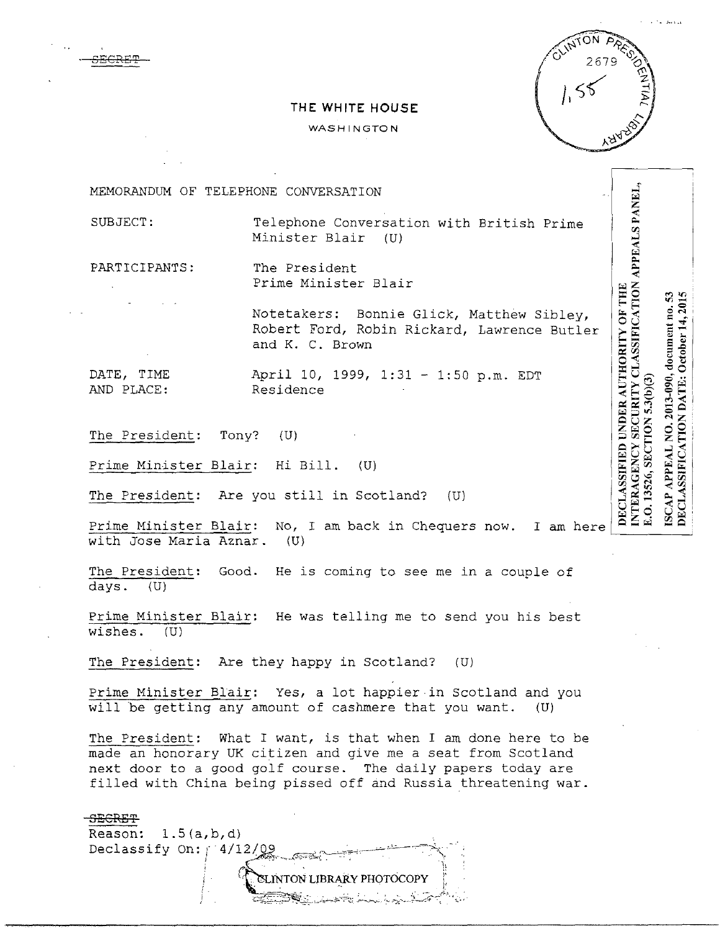

INTERAGENCY SECURITY CLASSIFICATION APPEALS PANEL,

O. 13526, SECTION 5.3(b)(3)

DECLASSIFICATION DATE: October 14, 2015 ISCAP APPEAL NO. 2013-090, document no. 53

DECLASSIFIED UNDER AUTHORITY OF THE

## **THE WHITE HOUSE**

#### WASHINGTON

MEMORANDUM OF TELEPHONE CONVERSATION

SUBJECT: Telephone Conversation with British Prime Minister Blair (U)

PARTICIPANTS: The President Prime Minister Blair

> Notetakers: Bonnie Glick, Matthew Sibley, Robert Ford, Robin Rickard, Lawrence Butler and K. C. Brown

DATE, TIME April 10, 1999, 1:31 - 1:50 p.m. EDT AND PLACE: Residence

SECRET

The President: Tony? (U)

Prime Minister Blair: Hi Bill. (U)

The President: Are you still in Scotland? (U)

Prime Minister Blair: No, I am back in Chequers now. I am with Jose Maria Aznar. (U)

The President: Good. He is coming to see me in a couple of days. (U)

Prime Minister Blair: He was telling me to send you his best wishes. (U)

The President: Are they happy in Scotland? (U)

Prime Minister Blair: Yes, a lot happier in Scotland and you will be getting any amount of cashmere that you want. (U)

The President: What I want, is that when I am done here to be made an honorary UK citizen and give me a seat from Scotland next door to a good golf course. The daily papers today are filled with China being pissed off and Russia threatening war.

### SECRET

Reason:  $1.5(a,b,d)$ Declassify On:  $/$  4/12/09

**EXINTON LIBRARY PHOTOCOPY** 

' ~-:...:c\_~,..,-::~.:,;;.:;;-·'->'·,,.~.;':. *'----:.::* -""-V-...·-· ·:~ :::--;:;·-~- .•- •...::·~ - . : .,,~'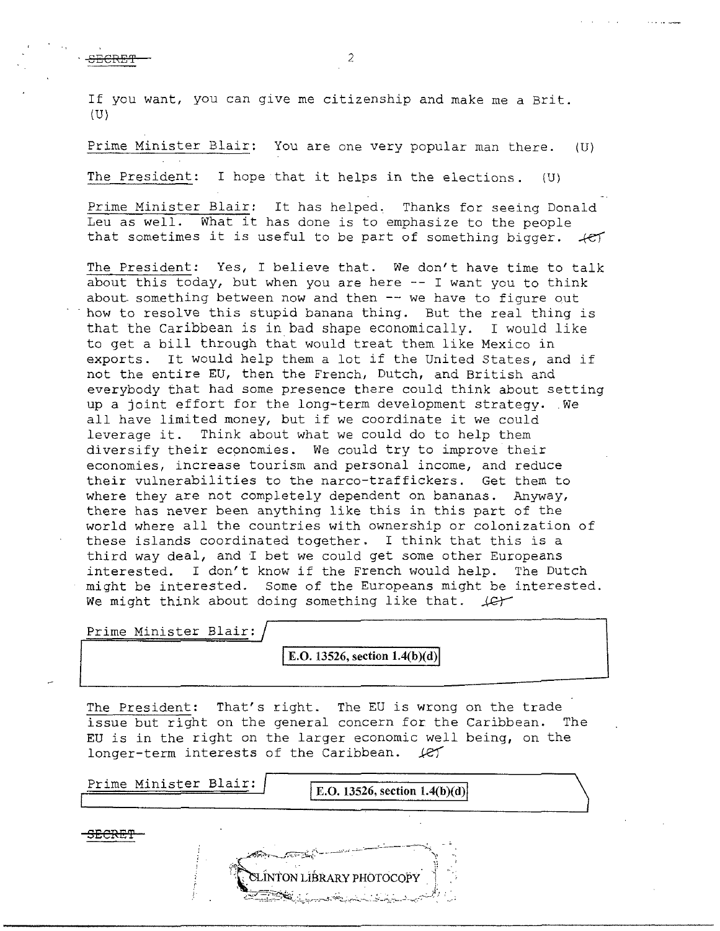If you want, you can give me citizenship and make me a Brit. (U)

Prime Minister Blair: You are one very popular man there. (U) The President: I hope that it helps in the elections. (U)

Prime Minister Blair: It has helped, Thanks for seeing Donald Leu as well. What it has done is to emphasize to the people that sometimes it is useful to be part of something bigger.  $left$ 

The President: Yes, I believe that. We don't have time to talk about this today, but when you are here -- I want you to think about something between now and then -- we have to figure out how to resolve this stupid banana thing. But the real thing is that the Caribbean is in.bad shape economically. I would like to get a bill through that would treat them like Mexico in exports. It would help them a lot if the United States, and if not the entire EU, then the French, Dutch, and British and everybody that had some presence there could think about setting up a joint effort for the long-term development strategy. We up a joint effort for the long-term development strategy. We all have limited money, but if we coordinate it we could leverage it. Think about what we could do to help them diversify their economies. We could try to improve their economies, increase tourism and personal income, and reduce their vulnerabilities to the narco-traffickers. Get them to where they are not completely dependent on bananas. Anyway, there has never been anything like this in this part of the world where all the countries with ownership or colonization of these islands coordinated together. I think that this is a third way deal, and I bet we could get some other Europeans interested. I don't know if the French would help. The Dutch might be interested. Some of the Europeans might be interested. We might think about doing something like that.  $\text{Ler}$ 

Prime Minister Blair:

**E.O. 13526, section 1.4(b)(d)** 

The President: That's right. The EU is wrong on the trade issue but right on the general concern for the Caribbean. The EU is in the right on the larger economic well being, on the longer-term interests of the Caribbean.  $\mathcal{L}$ 

Prime Minister Blair: **IE.O.** 13526, section 1.4(b)(d) **SECRE'P**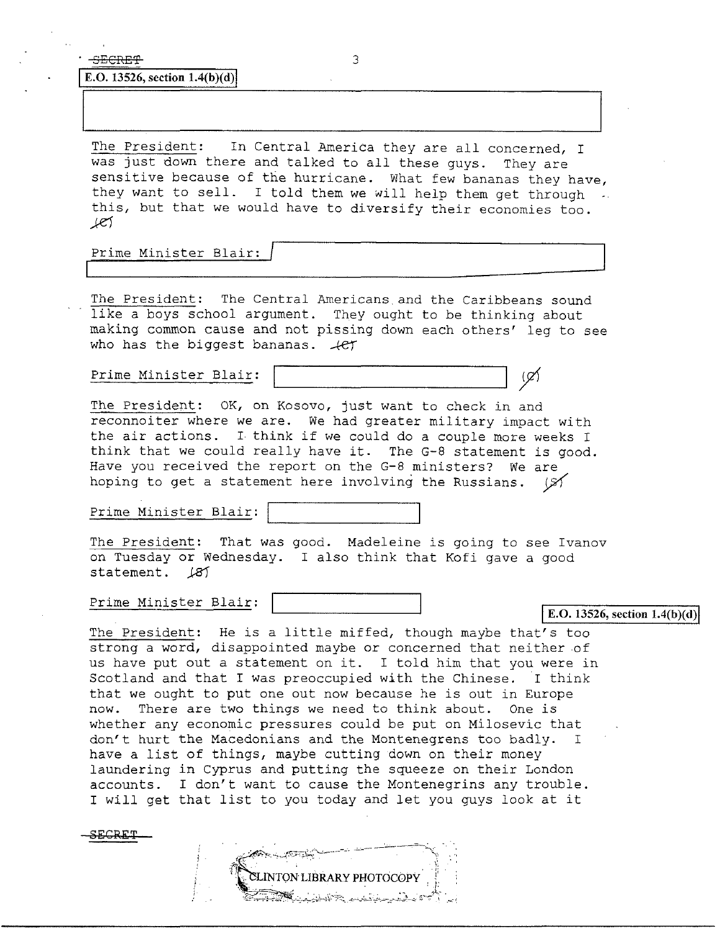SECRET 3

**E.O.** 13526, section  $1.4(b)(d)$ 

The President: In Central America they are all concerned, I was just down there and talked to all these guys. They are sensitive because of the hurricane. What few bananas they have, they want to sell. I told them we will help them get through ... this, but that we would have to diversify their economies too.  $I$ 

Prime Minister Blair:

The President: The Central Americans.and the Caribbeans sound like a boys school argument. They ought to be thinking about making common cause and not pissing down each others' leg to see who has the biggest bananas.  $+e^{i\pi}$ 

Prime Minister Blair:

The President: OK, on Kosovo, just want to check in and reconnoiter where we are. We had greater military impact with the air actions. I think if we could do a couple more weeks I think that we could really have it. The G-8 statement is good. Have you received the report on the G-8 ministers? We are hoping to get a statement here involving the Russians.  $\mathcal{A}$ 

Prime Minister Blair:

The President: That was good. Madeleine is going to see Ivanov on Tuesday or Wednesday. I also think that Kofi gave a good statement.  $181$ 

Prime Minister Blair:

**E.O. 13526, section 1.4(b)(d)** 

The President: He is a little miffed, though maybe that's too strong a word, disappointed maybe or concerned that neither of us have put out a statement on it. I told him that you were in Scotland and that I was preoccupied with the Chinese. I think that we ought to put one out now because he is out in Europe now. There are two things we need to think about. One is whether any economic pressures could be put on Milosevic that don't hurt the Macedonians and the Montenegrens too badly. I have a list of things, maybe cutting down on their money laundering in Cyprus and putting the squeeze on their London accounts. I don't want to cause the Montenegrins any trouble. I will get that list to you today and let you guys look at it

SECRET

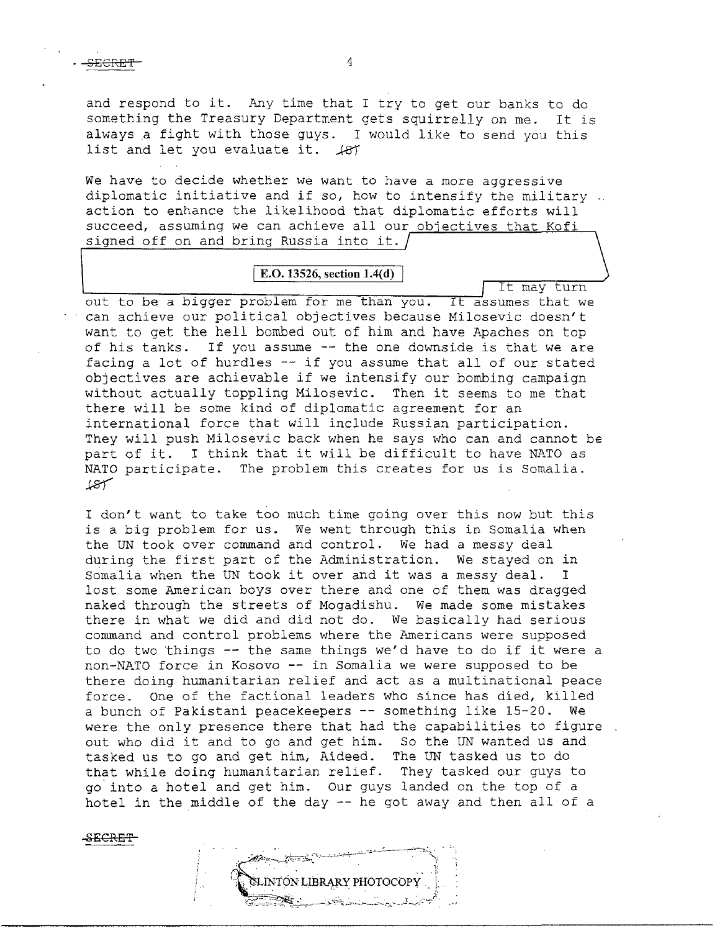and respond to it. Any time that I try to get our banks to do something the Treasury Department gets squirrelly on me. It is always a fight with those guys. I would like to send you this list and let you evaluate it.  $\cancel{187}$ 

We have to decide whether we want to have a more aggressive diplomatic initiative and if so, how to intensify the military. action to enhance the likelihood that diplomatic efforts will succeed, assuming we can achieve all our objectives that Kofi signed off on and bring Russia into it.

## **E.O. 13526, section 1.4(d)**

It may turn

out to be. a bigger problem for me than you. It assumes that we can achieve our political objectives because Milosevic doesn't want to get the hell bombed out of him and have Apaches on top of his tanks. If you assume -- the one downside is that we are facing a lot of hurdles -- if you assume that all of our stated objectives are achievable if we intensify our bombing campaign without actually toppling Milosevic. Then it seems to me that there will be some kind of diplomatic agreement for an international force that will include Russian participation. They will push Milosevic back when he says who can and cannot be part of it. I think that it will be difficult to have NATO as NATO participate. The problem this creates for us is Somalia.  $18$ 

I don't want to take too much time going over this now but this is a big problem for us. We went through this in Somalia when the UN took over command and control. We had a messy deal during the first part of the Administration. We stayed on in Somalia when the UN took it over and it was a messy deal. I lost some American boys over there and one of them was dragged naked through the streets of Mogadishu. We made some mistakes there in what we did and did not do. We basically had serious conunand and control problems where the Americans were supposed to do two things -- the same things we'd have to do if it were a non-NATO force in Kosovo -- in Somalia we were supposed to be there doing humanitarian relief and act as a multinational peace force. one of the factional leaders who since has died, killed a bunch of Pakistani peacekeepers -- something like 15-20. We were the only presence there that had the capabilities to figure. out who did it and to go and get him. So the UN wanted us and tasked us to go and get him, Aideed. The UN tasked us to do that while doing humanitarian relief. They tasked our guys to go' into a hotel and get him. Our guys landed on the top of a hotel in the middle of the day -- he got away and then all of a

SECRE'f'

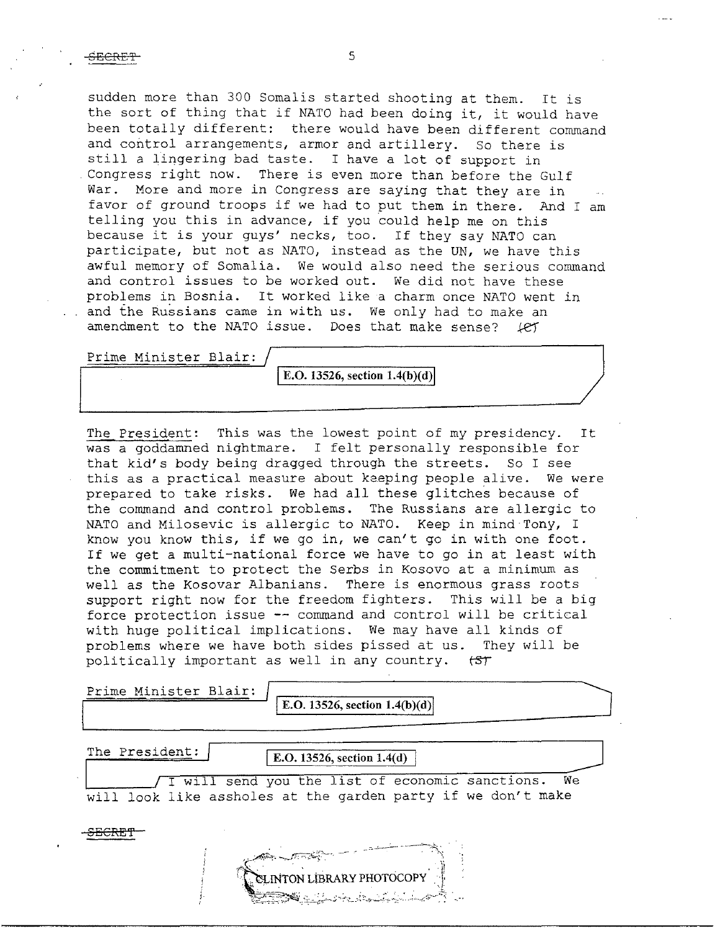sudden more than 300 Somalis started shooting at them. It is the sort of thing that if NATO had been doing it, it would have been totally different: there would have been different command and control arrangements, armor and artillery. So there is still a lingering bad taste. I have a lot of support in Congress right now. There is even more than before the There is even more than before the Gulf War. More and more in Congress are saying that they are in favor of ground troops if we had to put them in there. And I am telling you this in advance, if you could help me on this because it *is* your guys' necks, too. If they say NATO can participate, but not as NATO, instead as the UN, we have this awful memory of Somalia. We would also need the serious command and control issues to be worked out. We did not have these problems in Bosnia. It worked like a charm once NATO went in and the Russians came in with us. We only had to make an amendment to the NATO issue. Does that make sense?  $\text{\textit{left}}$ 

Prime Minister Blair:

E.O.  $13526$ , section  $1.4(b)(d)$ 

The President: This was the lowest point of my presidency. It was a goddamned nightmare. I felt personally responsible for that kid's body being dragged through the streets. So I see this as a practical measure about keeping people alive. We were prepared to take risks. We had all these glitches because of the command and control problems. The Russians are allergic to NATO and Milosevic is allergic to NATO. Keep in mind Tony, I know you know this, *if* we go in, we can't go in with one foot. If we get a multi-national force we have to go in at least with the commitment to protect the Serbs in Kosovo at a minimum as well as the Kosovar Albanians. There is enormous grass roots support right now for the freedom fighters. This will be a big force protection issue -- command and control will be critical with huge political implications. We may have all kinds of problems where we have both sides pissed at us. They will be politically important as well in any country.  $t$   $5$ 

i·  $^{\prime}$ 

Prime Minister Blair:  $\sqrt{\frac{\text{E.O. 13526, section 1.4(b)(d)}}{\text{E.O. 13526, section 1.4(b)(d)}}}}$ 

The President: **I.O.** 13526, section 1.4(d)

SLINTON LIBRARY PHOTOCOPY

I will send you the list of economic sanctions. We will look like assholes at the garden party if we don't make

<del>SECRET</del>